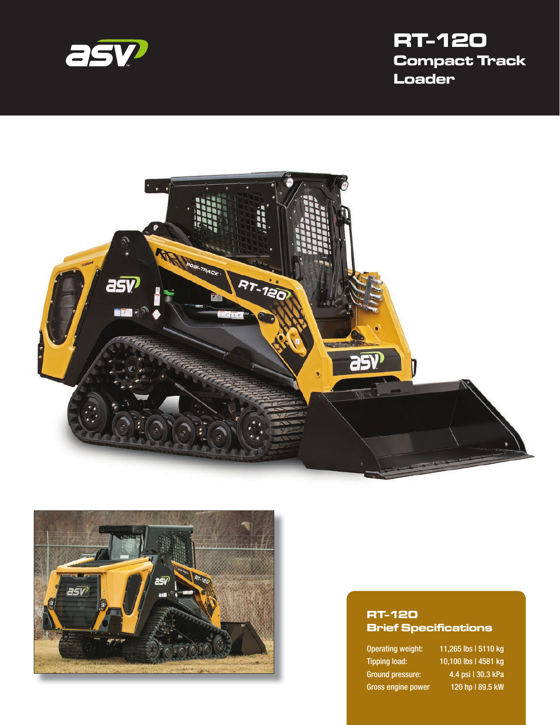

# **RT-120 Compact Track Loader**





#### **RT-120 Brief Specifications**

Gross engine power 120 hp | 89.5 kW

Operating weight: 11,265 lbs | 5110 kg Tipping load: 10,100 lbs | 4581 kg Ground pressure: 4.4 psi | 30.3 kPa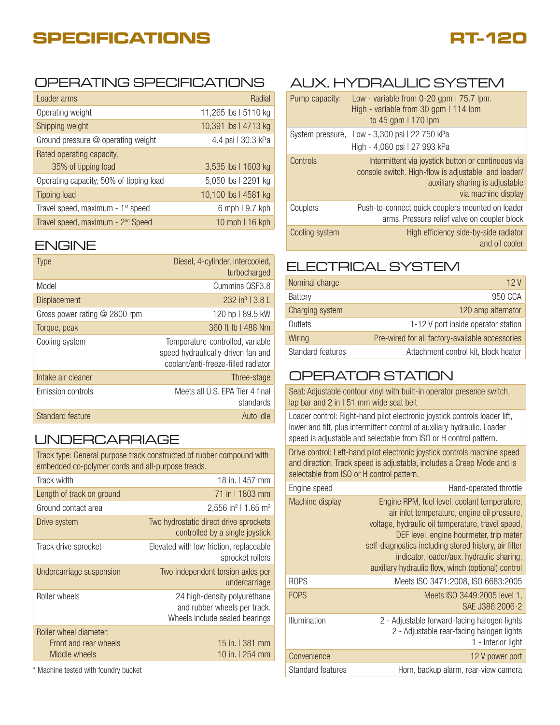## **SPECIFICATIONS**



## OPERATING SPECIFICATIONS

| Loader arms                                   | Radial               |
|-----------------------------------------------|----------------------|
| Operating weight                              | 11,265 lbs   5110 kg |
| Shipping weight                               | 10,391 lbs   4713 kg |
| Ground pressure @ operating weight            | 4.4 psi   30.3 kPa   |
| Rated operating capacity,                     |                      |
| 35% of tipping load                           | 3,535 lbs   1603 kg  |
| Operating capacity, 50% of tipping load       | 5,050 lbs   2291 kg  |
| <b>Tipping load</b>                           | 10,100 lbs   4581 kg |
| Travel speed, maximum - 1 <sup>st</sup> speed | 6 mph   9.7 kph      |
| Travel speed, maximum - 2 <sup>nd</sup> Speed | 10 mph   16 kph      |

#### ENGINE

| <b>Type</b>                     | Diesel, 4-cylinder, intercooled,<br>turbocharged                                                              |
|---------------------------------|---------------------------------------------------------------------------------------------------------------|
| Model                           | Cummins QSF3.8                                                                                                |
| <b>Displacement</b>             | $232 \text{ in}^3$   3.8                                                                                      |
| Gross power rating $@$ 2800 rpm | 120 hp   89.5 kW                                                                                              |
| Torque, peak                    | 360 ft-lb   488 Nm                                                                                            |
| Cooling system                  | Temperature-controlled, variable<br>speed hydraulically-driven fan and<br>coolant/anti-freeze-filled radiator |
| Intake air cleaner              | Three-stage                                                                                                   |
| Emission controls               | Meets all U.S. EPA Tier 4 final<br>standards                                                                  |
| Standard feature                | Auto idle                                                                                                     |

### UNDERCARRIAGE

Track type: General purpose track constructed of rubber compound with embedded co-polymer cords and all-purpose treads.

| Track width                                                      | 18 in.   457 mm                                                                                |
|------------------------------------------------------------------|------------------------------------------------------------------------------------------------|
| Length of track on ground                                        | 71 in 11803 mm                                                                                 |
| Ground contact area                                              | 2,556 in <sup>2</sup>   1.65 m <sup>2</sup>                                                    |
| Drive system                                                     | Two hydrostatic direct drive sprockets<br>controlled by a single joystick                      |
| Track drive sprocket                                             | Elevated with low friction, replaceable<br>sprocket rollers                                    |
| Undercarriage suspension                                         | Two independent torsion axles per<br>undercarriage                                             |
| Roller wheels                                                    | 24 high-density polyurethane<br>and rubber wheels per track.<br>Wheels include sealed bearings |
| Roller wheel diameter:<br>Front and rear wheels<br>Middle wheels | 15 in. 1 381 mm<br>10 in. I 254 mm                                                             |

\* Machine tested with foundry bucket

## AUX. HYDRAULIC SYSTEM

| Pump capacity:   | Low - variable from $0-20$ gpm $175.7$ lpm.<br>High - variable from 30 gpm   114 lpm<br>to 45 gpm $\mid$ 170 lpm                                                    |
|------------------|---------------------------------------------------------------------------------------------------------------------------------------------------------------------|
| System pressure, | Low - 3,300 psi   22 750 kPa<br>High - 4,060 psi   27 993 kPa                                                                                                       |
| Controls         | Intermittent via joystick button or continuous via<br>console switch. High-flow is adjustable and loader/<br>auxiliary sharing is adjustable<br>via machine display |
| Couplers         | Push-to-connect quick couplers mounted on loader<br>arms. Pressure relief valve on coupler block                                                                    |
| Cooling system   | High efficiency side-by-side radiator<br>and oil cooler                                                                                                             |

### ELECTRICAL SYSTEM

| Nominal charge           | 12V                                             |
|--------------------------|-------------------------------------------------|
| Battery                  | 950 CCA                                         |
| Charging system          | 120 amp alternator                              |
| Outlets                  | 1-12 V port inside operator station             |
| Wiring                   | Pre-wired for all factory-available accessories |
| <b>Standard features</b> | Attachment control kit, block heater            |

### OPERATOR STATION

Seat: Adjustable contour vinyl with built-in operator presence switch, lap bar and 2 in I 51 mm wide seat belt

Loader control: Right-hand pilot electronic joystick controls loader lift, lower and tilt, plus intermittent control of auxiliary hydraulic. Loader speed is adjustable and selectable from ISO or H control pattern.

Drive control: Left-hand pilot electronic joystick controls machine speed and direction. Track speed is adjustable, includes a Creep Mode and is selectable from ISO or H control pattern.

| Engine speed      | Hand-operated throttle                                                                                                                                                                                                                                                                                                                                  |
|-------------------|---------------------------------------------------------------------------------------------------------------------------------------------------------------------------------------------------------------------------------------------------------------------------------------------------------------------------------------------------------|
| Machine display   | Engine RPM, fuel level, coolant temperature,<br>air inlet temperature, engine oil pressure,<br>voltage, hydraulic oil temperature, travel speed,<br>DEF level, engine hourmeter, trip meter<br>self-diagnostics including stored history, air filter<br>indicator, loader/aux. hydraulic sharing,<br>auxiliary hydraulic flow, winch (optional) control |
| <b>ROPS</b>       | Meets ISO 3471:2008, ISO 6683:2005                                                                                                                                                                                                                                                                                                                      |
| <b>FOPS</b>       | Meets ISO 3449:2005 level 1,<br>SAE J386:2006-2                                                                                                                                                                                                                                                                                                         |
| Illumination      | 2 - Adjustable forward-facing halogen lights<br>2 - Adjustable rear-facing halogen lights<br>1 - Interior light                                                                                                                                                                                                                                         |
| Convenience       | 12 V power port                                                                                                                                                                                                                                                                                                                                         |
| Standard features | Horn, backup alarm, rear-view camera                                                                                                                                                                                                                                                                                                                    |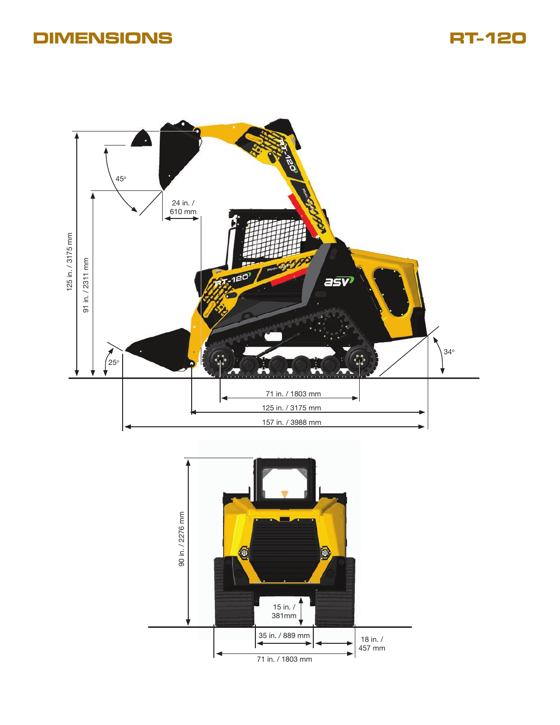## **DIMENSIONS RT-120**